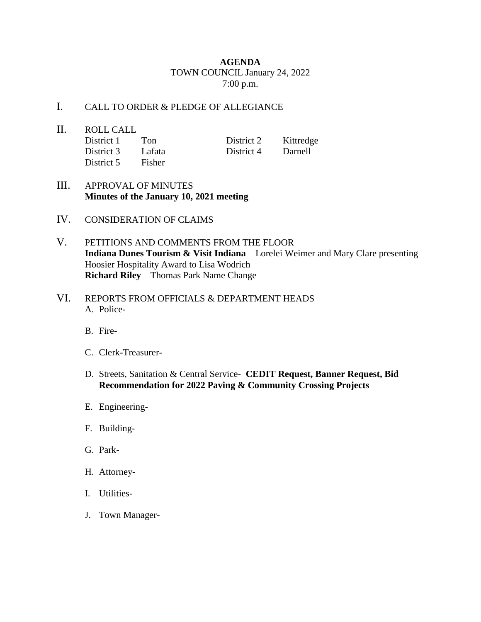## **AGENDA** TOWN COUNCIL January 24, 2022 7:00 p.m.

## I. CALL TO ORDER & PLEDGE OF ALLEGIANCE

- II. ROLL CALL District 1 Ton District 2 Kittredge District 3 Lafata District 4 Darnell District 5 Fisher
- III. APPROVAL OF MINUTES **Minutes of the January 10, 2021 meeting**
- IV. CONSIDERATION OF CLAIMS
- V. PETITIONS AND COMMENTS FROM THE FLOOR **Indiana Dunes Tourism & Visit Indiana** – Lorelei Weimer and Mary Clare presenting Hoosier Hospitality Award to Lisa Wodrich **Richard Riley** – Thomas Park Name Change
- VI. REPORTS FROM OFFICIALS & DEPARTMENT HEADS A. Police-
	- B. Fire-
	- C. Clerk-Treasurer-
	- D. Streets, Sanitation & Central Service- **CEDIT Request, Banner Request, Bid Recommendation for 2022 Paving & Community Crossing Projects**
	- E. Engineering-
	- F. Building-
	- G. Park-
	- H. Attorney-
	- I. Utilities-
	- J. Town Manager-